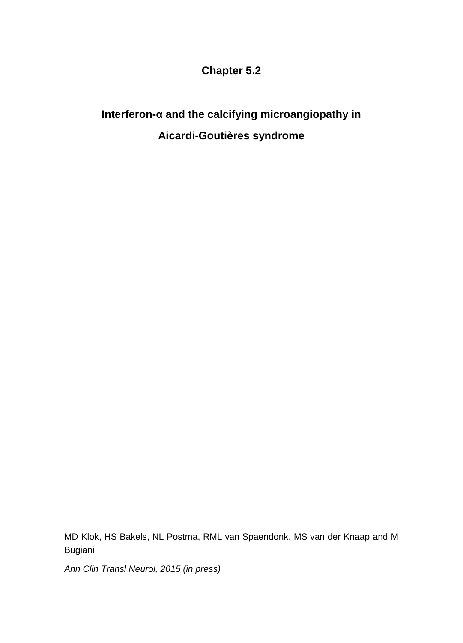# **Chapter 5.2**

# **Interferon-α and the calcifying microangiopathy in Aicardi-Goutières syndrome**

MD Klok, HS Bakels, NL Postma, RML van Spaendonk, MS van der Knaap and M Bugiani

*Ann Clin Transl Neurol, 2015 (in press)*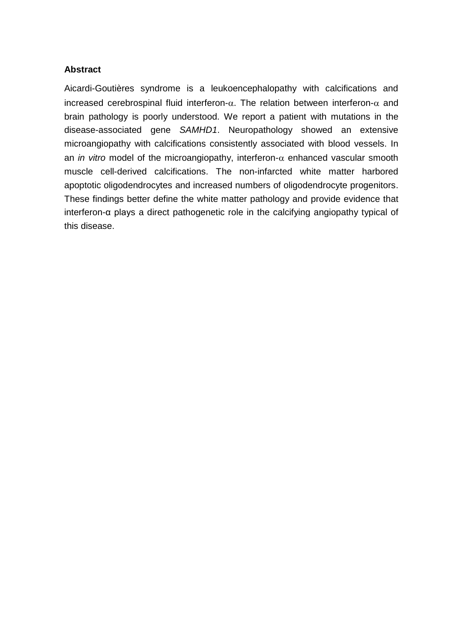### **Abstract**

Aicardi-Goutières syndrome is a leukoencephalopathy with calcifications and increased cerebrospinal fluid interferon- $\alpha$ . The relation between interferon- $\alpha$  and brain pathology is poorly understood. We report a patient with mutations in the disease-associated gene *SAMHD1*. Neuropathology showed an extensive microangiopathy with calcifications consistently associated with blood vessels. In an *in vitro* model of the microangiopathy, interferon- $\alpha$  enhanced vascular smooth muscle cell-derived calcifications. The non-infarcted white matter harbored apoptotic oligodendrocytes and increased numbers of oligodendrocyte progenitors. These findings better define the white matter pathology and provide evidence that interferon-α plays a direct pathogenetic role in the calcifying angiopathy typical of this disease.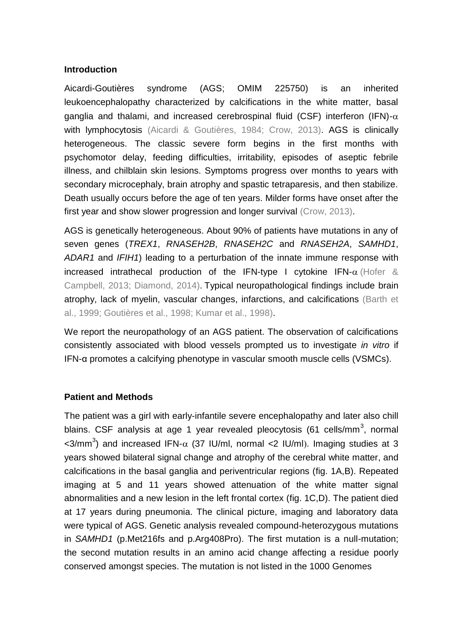## **Introduction**

Aicardi-Goutières syndrome (AGS; OMIM 225750) is an inherited leukoencephalopathy characterized by calcifications in the white matter, basal ganglia and thalami, and increased cerebrospinal fluid (CSF) interferon (IFN)- $\alpha$ with lymphocytosis (Aicardi & Goutières, 1984; Crow, 2013). AGS is clinically heterogeneous. The classic severe form begins in the first months with psychomotor delay, feeding difficulties, irritability, episodes of aseptic febrile illness, and chilblain skin lesions. Symptoms progress over months to years with secondary microcephaly, brain atrophy and spastic tetraparesis, and then stabilize. Death usually occurs before the age of ten years. Milder forms have onset after the first year and show slower progression and longer survival (Crow, 2013).

AGS is genetically heterogeneous. About 90% of patients have mutations in any of seven genes (*TREX1*, *RNASEH2B*, *RNASEH2C* and *RNASEH2A*, *SAMHD1*, *ADAR1* and *IFIH1*) leading to a perturbation of the innate immune response with increased intrathecal production of the IFN-type I cytokine IFN- $\alpha$  (Hofer & Campbell, 2013; Diamond, 2014). Typical neuropathological findings include brain atrophy, lack of myelin, vascular changes, infarctions, and calcifications (Barth et al., 1999; Goutières et al., 1998; Kumar et al., 1998).

We report the neuropathology of an AGS patient. The observation of calcifications consistently associated with blood vessels prompted us to investigate *in vitro* if IFN-α promotes a calcifying phenotype in vascular smooth muscle cells (VSMCs).

### **Patient and Methods**

The patient was a girl with early-infantile severe encephalopathy and later also chill blains. CSF analysis at age 1 year revealed pleocytosis (61 cells/mm $^3$ , normal <3/mm<sup>3</sup>) and increased IFN- $\alpha$  (37 IU/ml, normal <2 IU/ml). Imaging studies at 3 years showed bilateral signal change and atrophy of the cerebral white matter, and calcifications in the basal ganglia and periventricular regions (fig. 1A,B). Repeated imaging at 5 and 11 years showed attenuation of the white matter signal abnormalities and a new lesion in the left frontal cortex (fig. 1C,D). The patient died at 17 years during pneumonia. The clinical picture, imaging and laboratory data were typical of AGS. Genetic analysis revealed compound-heterozygous mutations in *SAMHD1* (p.Met216fs and p.Arg408Pro). The first mutation is a null-mutation; the second mutation results in an amino acid change affecting a residue poorly conserved amongst species. The mutation is not listed in the 1000 Genomes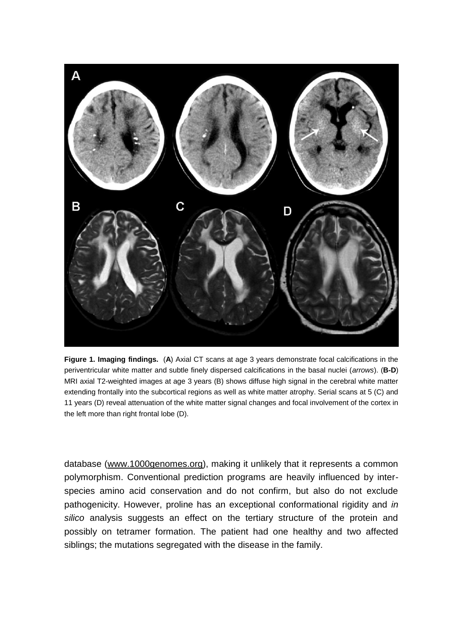

**Figure 1. Imaging findings.** (**A**) Axial CT scans at age 3 years demonstrate focal calcifications in the periventricular white matter and subtle finely dispersed calcifications in the basal nuclei (*arrows*). (**B-D**) MRI axial T2-weighted images at age 3 years (B) shows diffuse high signal in the cerebral white matter extending frontally into the subcortical regions as well as white matter atrophy. Serial scans at 5 (C) and 11 years (D) reveal attenuation of the white matter signal changes and focal involvement of the cortex in the left more than right frontal lobe (D).

database [\(www.1000genomes.org\)](https://webmail.vumc.nl/owa/redir.aspx?C=94de1e923bc449e6a041930b6ef26cb0&URL=http%3a%2f%2fwww.1000genomes.org), making it unlikely that it represents a common polymorphism. Conventional prediction programs are heavily influenced by interspecies amino acid conservation and do not confirm, but also do not exclude pathogenicity. However, proline has an exceptional conformational rigidity and *in silico* analysis suggests an effect on the tertiary structure of the protein and possibly on tetramer formation. The patient had one healthy and two affected siblings; the mutations segregated with the disease in the family.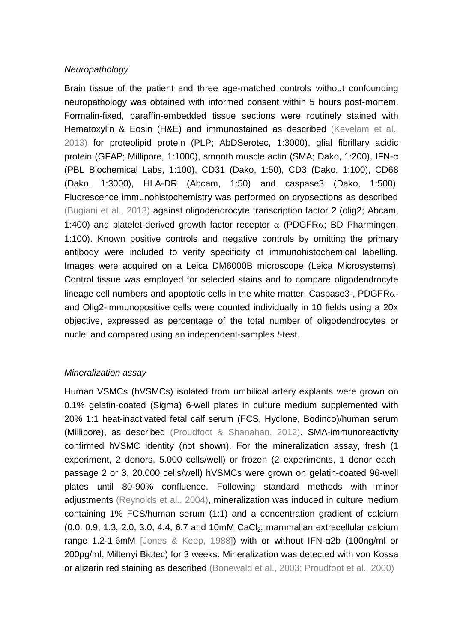## *Neuropathology*

Brain tissue of the patient and three age-matched controls without confounding neuropathology was obtained with informed consent within 5 hours post-mortem. Formalin-fixed, paraffin-embedded tissue sections were routinely stained with Hematoxylin & Eosin (H&E) and immunostained as described (Kevelam et al., 2013) for proteolipid protein (PLP; AbDSerotec, 1:3000), glial fibrillary acidic protein (GFAP; Millipore, 1:1000), smooth muscle actin (SMA; Dako, 1:200), IFN-α (PBL Biochemical Labs, 1:100), CD31 (Dako, 1:50), CD3 (Dako, 1:100), CD68 (Dako, 1:3000), HLA-DR (Abcam, 1:50) and caspase3 (Dako, 1:500). Fluorescence immunohistochemistry was performed on cryosections as described (Bugiani et al., 2013) against oligodendrocyte transcription factor 2 (olig2; Abcam, 1:400) and platelet-derived growth factor receptor  $\alpha$  (PDGFR $\alpha$ ; BD Pharmingen, 1:100). Known positive controls and negative controls by omitting the primary antibody were included to verify specificity of immunohistochemical labelling. Images were acquired on a Leica DM6000B microscope (Leica Microsystems). Control tissue was employed for selected stains and to compare oligodendrocyte lineage cell numbers and apoptotic cells in the white matter. Caspase3-, PDGFR $\alpha$ and Olig2-immunopositive cells were counted individually in 10 fields using a 20x objective, expressed as percentage of the total number of oligodendrocytes or nuclei and compared using an independent-samples *t*-test.

### *Mineralization assay*

Human VSMCs (hVSMCs) isolated from umbilical artery explants were grown on 0.1% gelatin-coated (Sigma) 6-well plates in culture medium supplemented with 20% 1:1 heat-inactivated fetal calf serum (FCS, Hyclone, Bodinco)/human serum (Millipore), as described (Proudfoot & Shanahan, 2012). SMA-immunoreactivity confirmed hVSMC identity (not shown). For the mineralization assay, fresh (1 experiment, 2 donors, 5.000 cells/well) or frozen (2 experiments, 1 donor each, passage 2 or 3, 20.000 cells/well) hVSMCs were grown on gelatin-coated 96-well plates until 80-90% confluence. Following standard methods with minor adjustments (Reynolds et al., 2004), mineralization was induced in culture medium containing 1% FCS/human serum (1:1) and a concentration gradient of calcium  $(0.0, 0.9, 1.3, 2.0, 3.0, 4.4, 6.7, 10.0)$  and 10mM CaCl<sub>2</sub>; mammalian extracellular calcium range 1.2-1.6mM [Jones & Keep, 1988]) with or without IFN-α2b (100ng/ml or 200pg/ml, Miltenyi Biotec) for 3 weeks. Mineralization was detected with von Kossa or alizarin red staining as described (Bonewald et al., 2003; Proudfoot et al., 2000)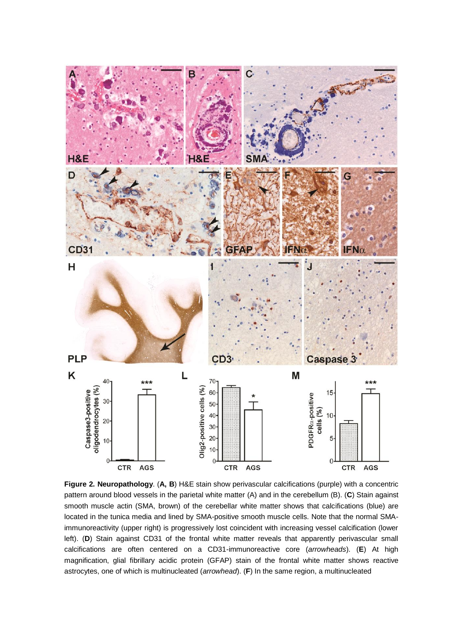

**Figure 2. Neuropathology**. (**A, B**) H&E stain show perivascular calcifications (purple) with a concentric pattern around blood vessels in the parietal white matter (A) and in the cerebellum (B). (**C**) Stain against smooth muscle actin (SMA, brown) of the cerebellar white matter shows that calcifications (blue) are located in the tunica media and lined by SMA-positive smooth muscle cells. Note that the normal SMAimmunoreactivity (upper right) is progressively lost coincident with increasing vessel calcification (lower left). (**D**) Stain against CD31 of the frontal white matter reveals that apparently perivascular small calcifications are often centered on a CD31-immunoreactive core (*arrowheads*). (**E**) At high magnification, glial fibrillary acidic protein (GFAP) stain of the frontal white matter shows reactive astrocytes, one of which is multinucleated (*arrowhead*). (**F**) In the same region, a multinucleated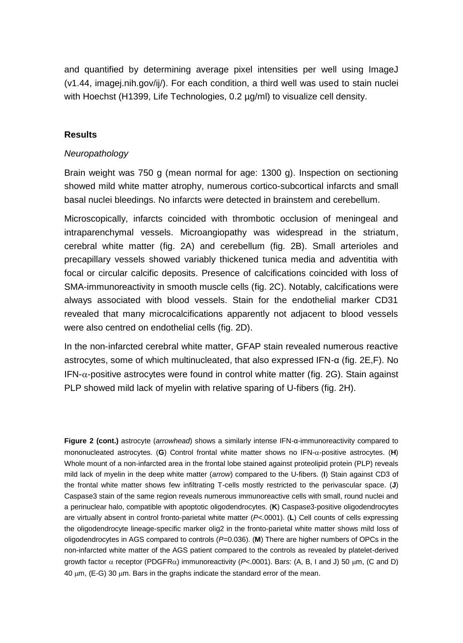and quantified by determining average pixel intensities per well using ImageJ (v1.44, imagej.nih.gov/ij/). For each condition, a third well was used to stain nuclei with Hoechst (H1399, Life Technologies, 0.2  $\mu$ g/ml) to visualize cell density.

#### **Results**

#### *Neuropathology*

Brain weight was 750 g (mean normal for age: 1300 g). Inspection on sectioning showed mild white matter atrophy, numerous cortico-subcortical infarcts and small basal nuclei bleedings. No infarcts were detected in brainstem and cerebellum.

Microscopically, infarcts coincided with thrombotic occlusion of meningeal and intraparenchymal vessels. Microangiopathy was widespread in the striatum, cerebral white matter (fig. 2A) and cerebellum (fig. 2B). Small arterioles and precapillary vessels showed variably thickened tunica media and adventitia with focal or circular calcific deposits. Presence of calcifications coincided with loss of SMA-immunoreactivity in smooth muscle cells (fig. 2C). Notably, calcifications were always associated with blood vessels. Stain for the endothelial marker CD31 revealed that many microcalcifications apparently not adjacent to blood vessels were also centred on endothelial cells (fig. 2D).

In the non-infarcted cerebral white matter, GFAP stain revealed numerous reactive astrocytes, some of which multinucleated, that also expressed IFN-α (fig. 2E,F). No  $IFN-\alpha$ -positive astrocytes were found in control white matter (fig. 2G). Stain against PLP showed mild lack of myelin with relative sparing of U-fibers (fig. 2H).

**Figure 2 (cont.)** astrocyte (*arrowhead*) shows a similarly intense IFN-α-immunoreactivity compared to mononucleated astrocytes. (**G**) Control frontal white matter shows no IFN-α-positive astrocytes. (**H**) Whole mount of a non-infarcted area in the frontal lobe stained against proteolipid protein (PLP) reveals mild lack of myelin in the deep white matter (*arrow*) compared to the U-fibers. (**I**) Stain against CD3 of the frontal white matter shows few infiltrating T-cells mostly restricted to the perivascular space. (**J**) Caspase3 stain of the same region reveals numerous immunoreactive cells with small, round nuclei and a perinuclear halo, compatible with apoptotic oligodendrocytes. (**K**) Caspase3-positive oligodendrocytes are virtually absent in control fronto-parietal white matter (*P*<.0001). (**L**) Cell counts of cells expressing the oligodendrocyte lineage-specific marker olig2 in the fronto-parietal white matter shows mild loss of oligodendrocytes in AGS compared to controls (*P*=0.036). (**M**) There are higher numbers of OPCs in the non-infarcted white matter of the AGS patient compared to the controls as revealed by platelet-derived growth factor  $\alpha$  receptor (PDGFR $\alpha$ ) immunoreactivity (*P*<.0001). Bars: (A, B, I and J) 50 um, (C and D)  $40 \mu m$ , (E-G) 30  $\mu$ m. Bars in the graphs indicate the standard error of the mean.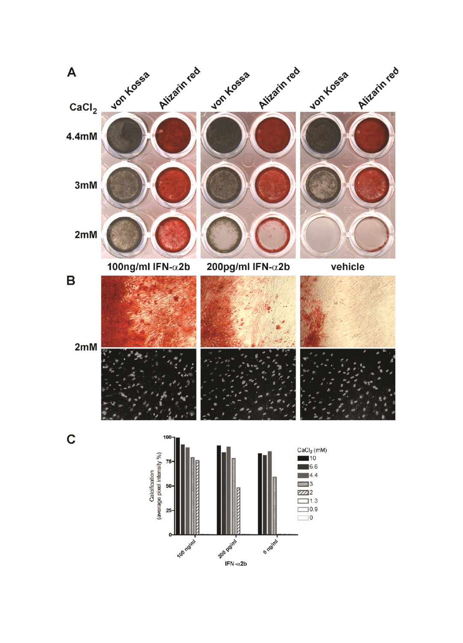

IFN- $\alpha$ 2b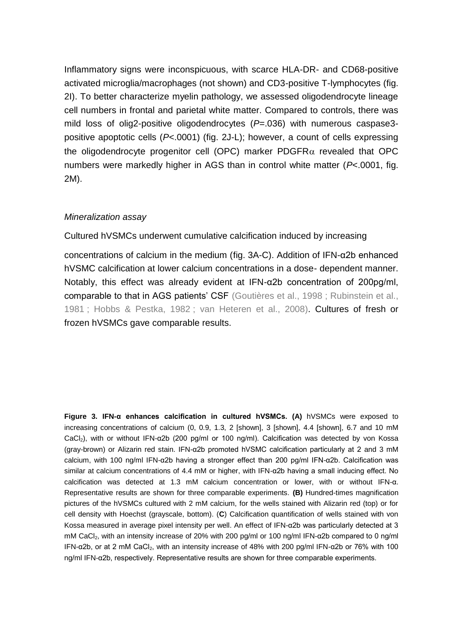Inflammatory signs were inconspicuous, with scarce HLA-DR- and CD68-positive activated microglia/macrophages (not shown) and CD3-positive T-lymphocytes (fig. 2I). To better characterize myelin pathology, we assessed oligodendrocyte lineage cell numbers in frontal and parietal white matter. Compared to controls, there was mild loss of olig2-positive oligodendrocytes (*P*=.036) with numerous caspase3 positive apoptotic cells (*P*<.0001) (fig. 2J-L); however, a count of cells expressing the oligodendrocyte progenitor cell (OPC) marker PDGFR $\alpha$  revealed that OPC numbers were markedly higher in AGS than in control white matter (*P*<.0001, fig. 2M).

### *Mineralization assay*

Cultured hVSMCs underwent cumulative calcification induced by increasing

concentrations of calcium in the medium (fig. 3A-C). Addition of IFN-α2b enhanced hVSMC calcification at lower calcium concentrations in a dose- dependent manner. Notably, this effect was already evident at IFN-α2b concentration of 200pg/ml, comparable to that in AGS patients' CSF (Goutières et al., 1998 ; Rubinstein et al., 1981 ; Hobbs & Pestka, 1982 ; van Heteren et al., 2008). Cultures of fresh or frozen hVSMCs gave comparable results.

**Figure 3. IFN-α enhances calcification in cultured hVSMCs. (A)** hVSMCs were exposed to increasing concentrations of calcium (0, 0.9, 1.3, 2 [shown], 3 [shown], 4.4 [shown], 6.7 and 10 mM CaCl2), with or without IFN-α2b (200 pg/ml or 100 ng/ml). Calcification was detected by von Kossa (gray-brown) or Alizarin red stain. IFN-α2b promoted hVSMC calcification particularly at 2 and 3 mM calcium, with 100 ng/ml IFN-α2b having a stronger effect than 200 pg/ml IFN-α2b. Calcification was similar at calcium concentrations of 4.4 mM or higher, with IFN-α2b having a small inducing effect. No calcification was detected at 1.3 mM calcium concentration or lower, with or without IFN-α. Representative results are shown for three comparable experiments. **(B)** Hundred-times magnification pictures of the hVSMCs cultured with 2 mM calcium, for the wells stained with Alizarin red (top) or for cell density with Hoechst (grayscale, bottom). (**C**) Calcification quantification of wells stained with von Kossa measured in average pixel intensity per well. An effect of IFN-α2b was particularly detected at 3 mM CaCl2, with an intensity increase of 20% with 200 pg/ml or 100 ng/ml IFN-α2b compared to 0 ng/ml IFN-α2b, or at 2 mM CaCl<sub>2</sub>, with an intensity increase of 48% with 200 pg/ml IFN-α2b or 76% with 100 ng/ml IFN-α2b, respectively. Representative results are shown for three comparable experiments.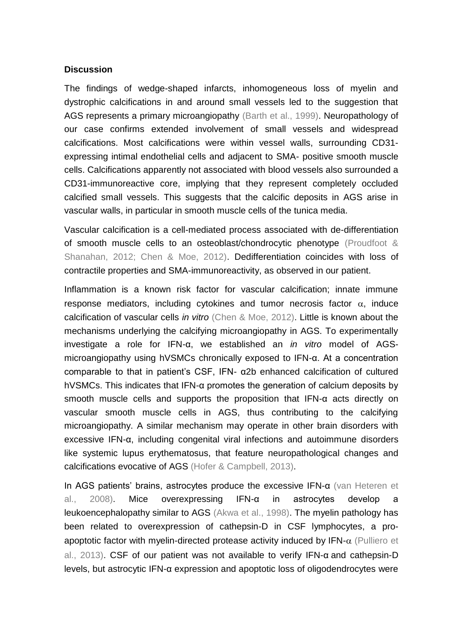#### **Discussion**

The findings of wedge-shaped infarcts, inhomogeneous loss of myelin and dystrophic calcifications in and around small vessels led to the suggestion that AGS represents a primary microangiopathy (Barth et al., 1999). Neuropathology of our case confirms extended involvement of small vessels and widespread calcifications. Most calcifications were within vessel walls, surrounding CD31 expressing intimal endothelial cells and adjacent to SMA- positive smooth muscle cells. Calcifications apparently not associated with blood vessels also surrounded a CD31-immunoreactive core, implying that they represent completely occluded calcified small vessels. This suggests that the calcific deposits in AGS arise in vascular walls, in particular in smooth muscle cells of the tunica media.

Vascular calcification is a cell-mediated process associated with de-differentiation of smooth muscle cells to an osteoblast/chondrocytic phenotype (Proudfoot & Shanahan, 2012; Chen & Moe, 2012). Dedifferentiation coincides with loss of contractile properties and SMA-immunoreactivity, as observed in our patient.

Inflammation is a known risk factor for vascular calcification; innate immune response mediators, including cytokines and tumor necrosis factor  $\alpha$ , induce calcification of vascular cells *in vitro* (Chen & Moe, 2012). Little is known about the mechanisms underlying the calcifying microangiopathy in AGS. To experimentally investigate a role for IFN-α, we established an *in vitro* model of AGSmicroangiopathy using hVSMCs chronically exposed to IFN-α. At a concentration comparable to that in patient's CSF, IFN- α2b enhanced calcification of cultured hVSMCs. This indicates that IFN-α promotes the generation of calcium deposits by smooth muscle cells and supports the proposition that IFN-α acts directly on vascular smooth muscle cells in AGS, thus contributing to the calcifying microangiopathy. A similar mechanism may operate in other brain disorders with excessive IFN-α, including congenital viral infections and autoimmune disorders like systemic lupus erythematosus, that feature neuropathological changes and calcifications evocative of AGS (Hofer & Campbell, 2013).

In AGS patients' brains, astrocytes produce the excessive IFN-α (van Heteren et al., 2008). Mice overexpressing IFN-α in astrocytes develop a leukoencephalopathy similar to AGS (Akwa et al., 1998). The myelin pathology has been related to overexpression of cathepsin-D in CSF lymphocytes, a proapoptotic factor with myelin-directed protease activity induced by  $IFN-\alpha$  (Pulliero et al., 2013). CSF of our patient was not available to verify IFN-α and cathepsin-D levels, but astrocytic IFN-α expression and apoptotic loss of oligodendrocytes were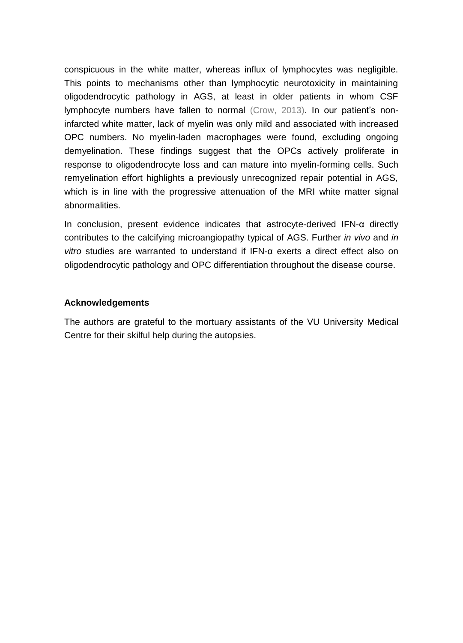conspicuous in the white matter, whereas influx of lymphocytes was negligible. This points to mechanisms other than lymphocytic neurotoxicity in maintaining oligodendrocytic pathology in AGS, at least in older patients in whom CSF lymphocyte numbers have fallen to normal (Crow, 2013). In our patient's noninfarcted white matter, lack of myelin was only mild and associated with increased OPC numbers. No myelin-laden macrophages were found, excluding ongoing demyelination. These findings suggest that the OPCs actively proliferate in response to oligodendrocyte loss and can mature into myelin-forming cells. Such remyelination effort highlights a previously unrecognized repair potential in AGS, which is in line with the progressive attenuation of the MRI white matter signal abnormalities.

In conclusion, present evidence indicates that astrocyte-derived IFN-α directly contributes to the calcifying microangiopathy typical of AGS. Further *in vivo* and *in vitro* studies are warranted to understand if IFN-α exerts a direct effect also on oligodendrocytic pathology and OPC differentiation throughout the disease course.

### **Acknowledgements**

The authors are grateful to the mortuary assistants of the VU University Medical Centre for their skilful help during the autopsies.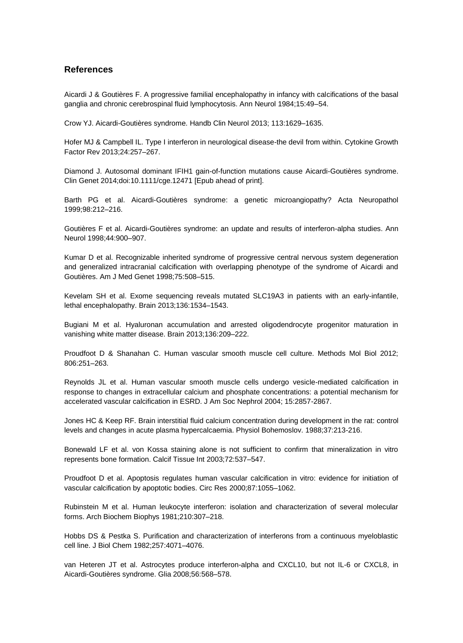#### **References**

Aicardi J & Goutières F. A progressive familial encephalopathy in infancy with calcifications of the basal ganglia and chronic cerebrospinal fluid lymphocytosis. Ann Neurol 1984;15:49–54.

Crow YJ. Aicardi-Goutières syndrome. Handb Clin Neurol 2013; 113:1629–1635.

Hofer MJ & Campbell IL. Type I interferon in neurological disease-the devil from within. Cytokine Growth Factor Rev 2013;24:257–267.

Diamond J. Autosomal dominant IFIH1 gain-of-function mutations cause Aicardi-Goutières syndrome. Clin Genet 2014;doi:10.1111/cge.12471 [Epub ahead of print].

Barth PG et al. Aicardi-Goutières syndrome: a genetic microangiopathy? Acta Neuropathol 1999;98:212–216.

Goutières F et al. Aicardi-Goutières syndrome: an update and results of interferon-alpha studies. Ann Neurol 1998;44:900–907.

Kumar D et al. Recognizable inherited syndrome of progressive central nervous system degeneration and generalized intracranial calcification with overlapping phenotype of the syndrome of Aicardi and Goutières. Am J Med Genet 1998;75:508–515.

Kevelam SH et al. Exome sequencing reveals mutated SLC19A3 in patients with an early-infantile, lethal encephalopathy. Brain 2013;136:1534–1543.

Bugiani M et al. Hyaluronan accumulation and arrested oligodendrocyte progenitor maturation in vanishing white matter disease. Brain 2013;136:209–222.

Proudfoot D & Shanahan C. Human vascular smooth muscle cell culture. Methods Mol Biol 2012; 806:251–263.

Reynolds JL et al. Human vascular smooth muscle cells undergo vesicle-mediated calcification in response to changes in extracellular calcium and phosphate concentrations: a potential mechanism for accelerated vascular calcification in ESRD. J Am Soc Nephrol 2004; 15:2857-2867.

Jones HC & Keep RF. Brain interstitial fluid calcium concentration during development in the rat: control levels and changes in acute plasma hypercalcaemia. Physiol Bohemoslov. 1988;37:213-216.

Bonewald LF et al. von Kossa staining alone is not sufficient to confirm that mineralization in vitro represents bone formation. Calcif Tissue Int 2003;72:537–547.

Proudfoot D et al. Apoptosis regulates human vascular calcification in vitro: evidence for initiation of vascular calcification by apoptotic bodies. Circ Res 2000;87:1055–1062.

Rubinstein M et al. Human leukocyte interferon: isolation and characterization of several molecular forms. Arch Biochem Biophys 1981;210:307–218.

Hobbs DS & Pestka S. Purification and characterization of interferons from a continuous myeloblastic cell line. J Biol Chem 1982;257:4071–4076.

van Heteren JT et al. Astrocytes produce interferon-alpha and CXCL10, but not IL-6 or CXCL8, in Aicardi-Goutières syndrome. Glia 2008;56:568–578.